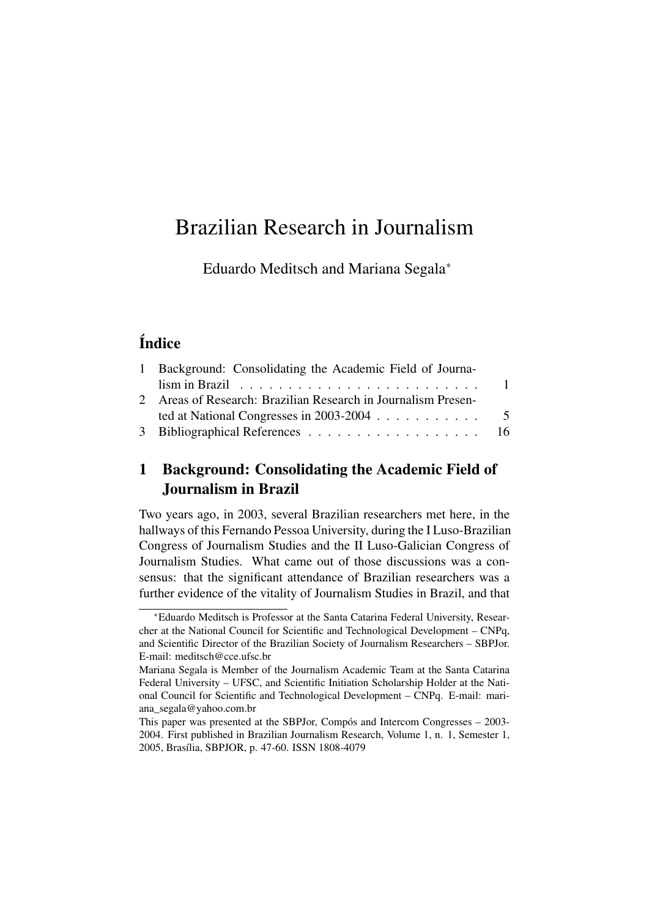# Brazilian Research in Journalism

Eduardo Meditsch and Mariana Segala<sup>∗</sup>

# Índice

| 1 Background: Consolidating the Academic Field of Journa-             |  |
|-----------------------------------------------------------------------|--|
|                                                                       |  |
| 2 Areas of Research: Brazilian Research in Journalism Presen-         |  |
| ted at National Congresses in 2003-2004 $\ldots \ldots \ldots \ldots$ |  |
|                                                                       |  |

## <span id="page-0-0"></span>1 Background: Consolidating the Academic Field of Journalism in Brazil

Two years ago, in 2003, several Brazilian researchers met here, in the hallways of this Fernando Pessoa University, during the I Luso-Brazilian Congress of Journalism Studies and the II Luso-Galician Congress of Journalism Studies. What came out of those discussions was a consensus: that the significant attendance of Brazilian researchers was a further evidence of the vitality of Journalism Studies in Brazil, and that

<sup>∗</sup>Eduardo Meditsch is Professor at the Santa Catarina Federal University, Researcher at the National Council for Scientific and Technological Development – CNPq, and Scientific Director of the Brazilian Society of Journalism Researchers – SBPJor. E-mail: meditsch@cce.ufsc.br

Mariana Segala is Member of the Journalism Academic Team at the Santa Catarina Federal University – UFSC, and Scientific Initiation Scholarship Holder at the National Council for Scientific and Technological Development – CNPq. E-mail: mariana\_segala@yahoo.com.br

This paper was presented at the SBPJor, Compós and Intercom Congresses – 2003- 2004. First published in Brazilian Journalism Research, Volume 1, n. 1, Semester 1, 2005, Brasília, SBPJOR, p. 47-60. ISSN 1808-4079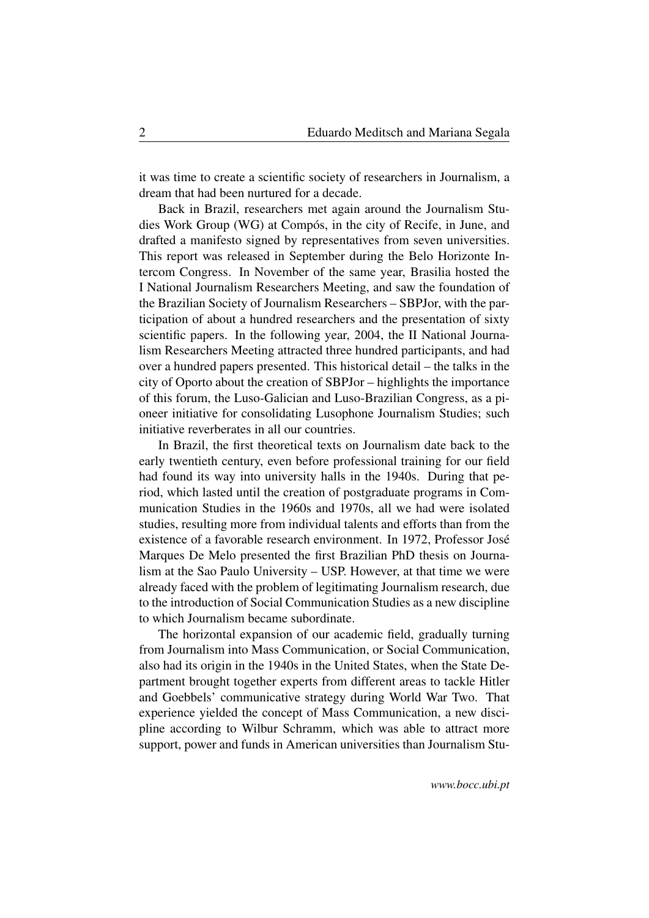it was time to create a scientific society of researchers in Journalism, a dream that had been nurtured for a decade.

Back in Brazil, researchers met again around the Journalism Studies Work Group (WG) at Compós, in the city of Recife, in June, and drafted a manifesto signed by representatives from seven universities. This report was released in September during the Belo Horizonte Intercom Congress. In November of the same year, Brasilia hosted the I National Journalism Researchers Meeting, and saw the foundation of the Brazilian Society of Journalism Researchers – SBPJor, with the participation of about a hundred researchers and the presentation of sixty scientific papers. In the following year, 2004, the II National Journalism Researchers Meeting attracted three hundred participants, and had over a hundred papers presented. This historical detail – the talks in the city of Oporto about the creation of SBPJor – highlights the importance of this forum, the Luso-Galician and Luso-Brazilian Congress, as a pioneer initiative for consolidating Lusophone Journalism Studies; such initiative reverberates in all our countries.

In Brazil, the first theoretical texts on Journalism date back to the early twentieth century, even before professional training for our field had found its way into university halls in the 1940s. During that period, which lasted until the creation of postgraduate programs in Communication Studies in the 1960s and 1970s, all we had were isolated studies, resulting more from individual talents and efforts than from the existence of a favorable research environment. In 1972, Professor José Marques De Melo presented the first Brazilian PhD thesis on Journalism at the Sao Paulo University – USP. However, at that time we were already faced with the problem of legitimating Journalism research, due to the introduction of Social Communication Studies as a new discipline to which Journalism became subordinate.

The horizontal expansion of our academic field, gradually turning from Journalism into Mass Communication, or Social Communication, also had its origin in the 1940s in the United States, when the State Department brought together experts from different areas to tackle Hitler and Goebbels' communicative strategy during World War Two. That experience yielded the concept of Mass Communication, a new discipline according to Wilbur Schramm, which was able to attract more support, power and funds in American universities than Journalism Stu-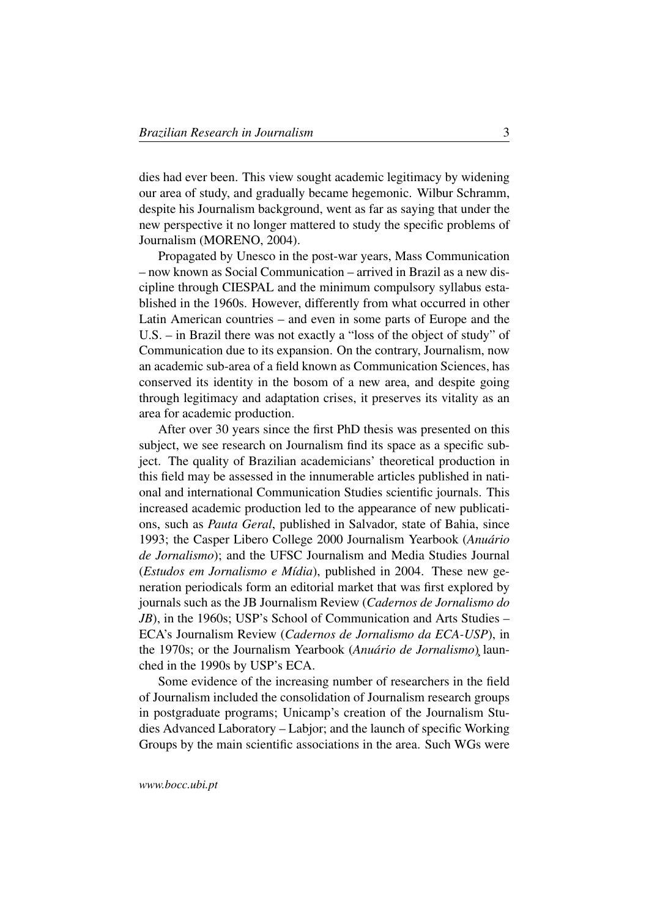dies had ever been. This view sought academic legitimacy by widening our area of study, and gradually became hegemonic. Wilbur Schramm, despite his Journalism background, went as far as saying that under the new perspective it no longer mattered to study the specific problems of Journalism (MORENO, 2004).

Propagated by Unesco in the post-war years, Mass Communication – now known as Social Communication – arrived in Brazil as a new discipline through CIESPAL and the minimum compulsory syllabus established in the 1960s. However, differently from what occurred in other Latin American countries – and even in some parts of Europe and the U.S. – in Brazil there was not exactly a "loss of the object of study" of Communication due to its expansion. On the contrary, Journalism, now an academic sub-area of a field known as Communication Sciences, has conserved its identity in the bosom of a new area, and despite going through legitimacy and adaptation crises, it preserves its vitality as an area for academic production.

After over 30 years since the first PhD thesis was presented on this subject, we see research on Journalism find its space as a specific subject. The quality of Brazilian academicians' theoretical production in this field may be assessed in the innumerable articles published in national and international Communication Studies scientific journals. This increased academic production led to the appearance of new publications, such as *Pauta Geral*, published in Salvador, state of Bahia, since 1993; the Casper Libero College 2000 Journalism Yearbook (*Anuário de Jornalismo*); and the UFSC Journalism and Media Studies Journal (*Estudos em Jornalismo e Mídia*), published in 2004. These new generation periodicals form an editorial market that was first explored by journals such as the JB Journalism Review (*Cadernos de Jornalismo do JB*), in the 1960s; USP's School of Communication and Arts Studies – ECA's Journalism Review (*Cadernos de Jornalismo da ECA-USP*), in the 1970s; or the Journalism Yearbook (*Anuário de Jornalismo*)¸ launched in the 1990s by USP's ECA.

Some evidence of the increasing number of researchers in the field of Journalism included the consolidation of Journalism research groups in postgraduate programs; Unicamp's creation of the Journalism Studies Advanced Laboratory – Labjor; and the launch of specific Working Groups by the main scientific associations in the area. Such WGs were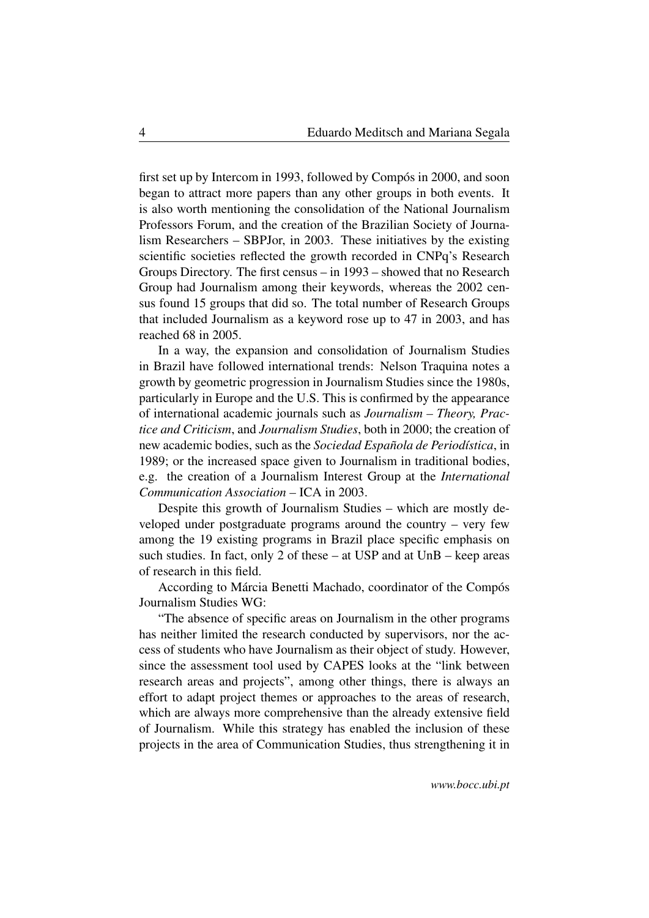first set up by Intercom in 1993, followed by Compós in 2000, and soon began to attract more papers than any other groups in both events. It is also worth mentioning the consolidation of the National Journalism Professors Forum, and the creation of the Brazilian Society of Journalism Researchers – SBPJor, in 2003. These initiatives by the existing scientific societies reflected the growth recorded in CNPq's Research Groups Directory. The first census – in 1993 – showed that no Research Group had Journalism among their keywords, whereas the 2002 census found 15 groups that did so. The total number of Research Groups that included Journalism as a keyword rose up to 47 in 2003, and has reached 68 in 2005.

In a way, the expansion and consolidation of Journalism Studies in Brazil have followed international trends: Nelson Traquina notes a growth by geometric progression in Journalism Studies since the 1980s, particularly in Europe and the U.S. This is confirmed by the appearance of international academic journals such as *Journalism – Theory, Practice and Criticism*, and *Journalism Studies*, both in 2000; the creation of new academic bodies, such as the *Sociedad Española de Periodística*, in 1989; or the increased space given to Journalism in traditional bodies, e.g. the creation of a Journalism Interest Group at the *International Communication Association –* ICA in 2003.

Despite this growth of Journalism Studies – which are mostly developed under postgraduate programs around the country – very few among the 19 existing programs in Brazil place specific emphasis on such studies. In fact, only 2 of these – at USP and at UnB – keep areas of research in this field.

According to Márcia Benetti Machado, coordinator of the Compós Journalism Studies WG:

"The absence of specific areas on Journalism in the other programs has neither limited the research conducted by supervisors, nor the access of students who have Journalism as their object of study. However, since the assessment tool used by CAPES looks at the "link between research areas and projects", among other things, there is always an effort to adapt project themes or approaches to the areas of research, which are always more comprehensive than the already extensive field of Journalism. While this strategy has enabled the inclusion of these projects in the area of Communication Studies, thus strengthening it in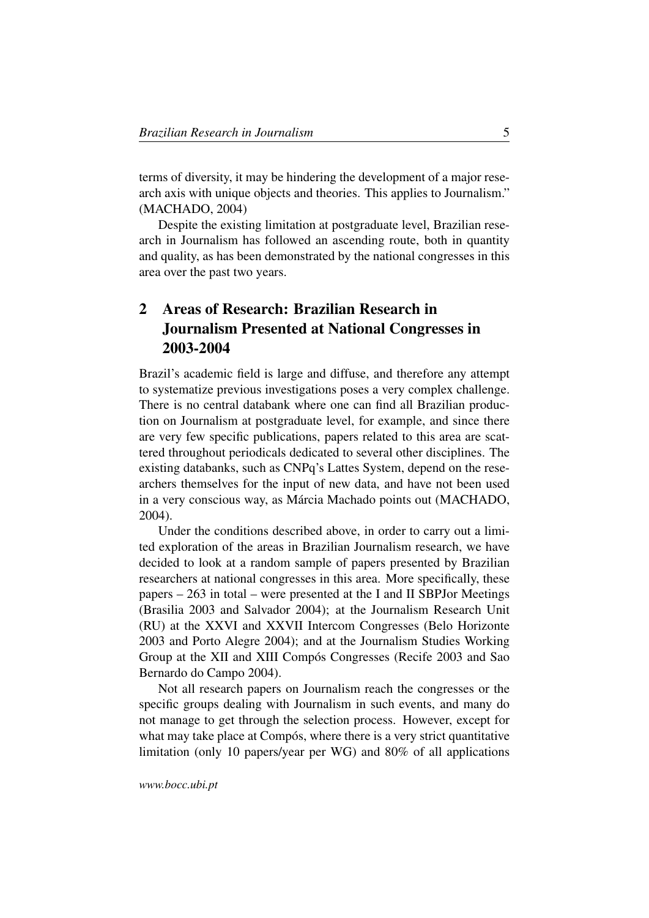terms of diversity, it may be hindering the development of a major research axis with unique objects and theories. This applies to Journalism." (MACHADO, 2004)

Despite the existing limitation at postgraduate level, Brazilian research in Journalism has followed an ascending route, both in quantity and quality, as has been demonstrated by the national congresses in this area over the past two years.

# <span id="page-4-0"></span>2 Areas of Research: Brazilian Research in Journalism Presented at National Congresses in 2003-2004

Brazil's academic field is large and diffuse, and therefore any attempt to systematize previous investigations poses a very complex challenge. There is no central databank where one can find all Brazilian production on Journalism at postgraduate level, for example, and since there are very few specific publications, papers related to this area are scattered throughout periodicals dedicated to several other disciplines. The existing databanks, such as CNPq's Lattes System, depend on the researchers themselves for the input of new data, and have not been used in a very conscious way, as Márcia Machado points out (MACHADO, 2004).

Under the conditions described above, in order to carry out a limited exploration of the areas in Brazilian Journalism research, we have decided to look at a random sample of papers presented by Brazilian researchers at national congresses in this area. More specifically, these papers – 263 in total – were presented at the I and II SBPJor Meetings (Brasilia 2003 and Salvador 2004); at the Journalism Research Unit (RU) at the XXVI and XXVII Intercom Congresses (Belo Horizonte 2003 and Porto Alegre 2004); and at the Journalism Studies Working Group at the XII and XIII Compós Congresses (Recife 2003 and Sao Bernardo do Campo 2004).

Not all research papers on Journalism reach the congresses or the specific groups dealing with Journalism in such events, and many do not manage to get through the selection process. However, except for what may take place at Compós, where there is a very strict quantitative limitation (only 10 papers/year per WG) and 80% of all applications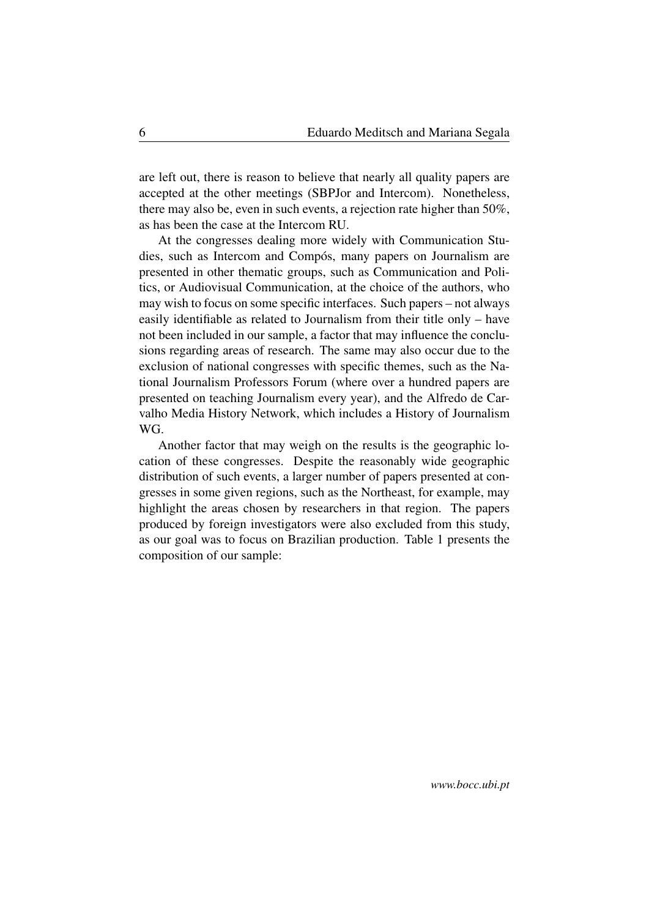are left out, there is reason to believe that nearly all quality papers are accepted at the other meetings (SBPJor and Intercom). Nonetheless, there may also be, even in such events, a rejection rate higher than 50%, as has been the case at the Intercom RU.

At the congresses dealing more widely with Communication Studies, such as Intercom and Compós, many papers on Journalism are presented in other thematic groups, such as Communication and Politics, or Audiovisual Communication, at the choice of the authors, who may wish to focus on some specific interfaces. Such papers – not always easily identifiable as related to Journalism from their title only – have not been included in our sample, a factor that may influence the conclusions regarding areas of research. The same may also occur due to the exclusion of national congresses with specific themes, such as the National Journalism Professors Forum (where over a hundred papers are presented on teaching Journalism every year), and the Alfredo de Carvalho Media History Network, which includes a History of Journalism WG.

Another factor that may weigh on the results is the geographic location of these congresses. Despite the reasonably wide geographic distribution of such events, a larger number of papers presented at congresses in some given regions, such as the Northeast, for example, may highlight the areas chosen by researchers in that region. The papers produced by foreign investigators were also excluded from this study, as our goal was to focus on Brazilian production. Table 1 presents the composition of our sample: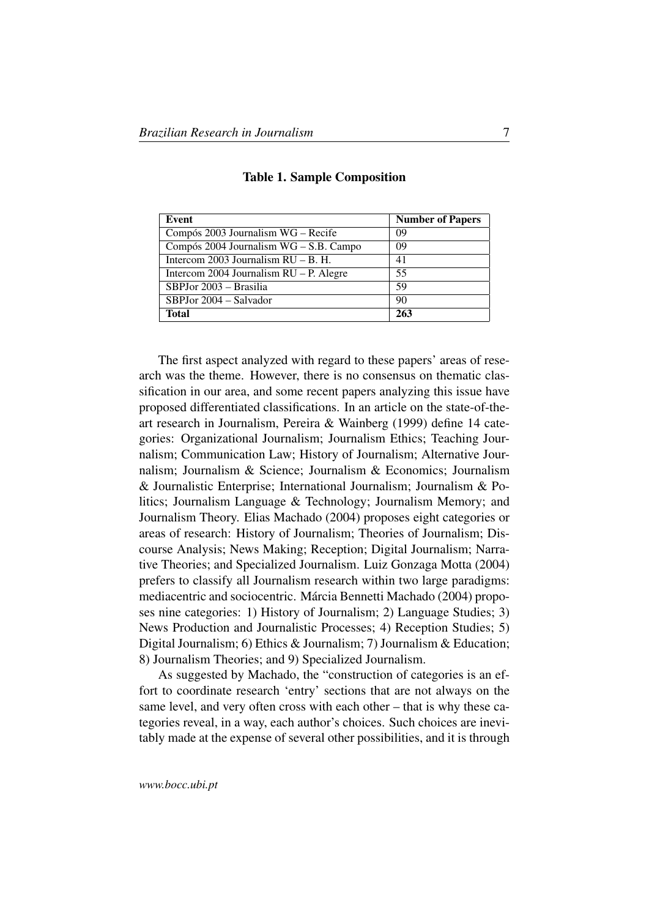| Event                                    | <b>Number of Papers</b> |
|------------------------------------------|-------------------------|
| Compós 2003 Journalism WG – Recife       | 09                      |
| Compós 2004 Journalism $WG - S.B.$ Campo | 09                      |
| Intercom 2003 Journalism $RU - B$ . H.   | 41                      |
| Intercom 2004 Journalism RU – P. Alegre  | 55                      |
| SBPJor 2003 – Brasilia                   | 59                      |
| SBPJor 2004 – Salvador                   | 90                      |
| Total                                    | 263                     |

#### Table 1. Sample Composition

The first aspect analyzed with regard to these papers' areas of research was the theme. However, there is no consensus on thematic classification in our area, and some recent papers analyzing this issue have proposed differentiated classifications. In an article on the state-of-theart research in Journalism, Pereira & Wainberg (1999) define 14 categories: Organizational Journalism; Journalism Ethics; Teaching Journalism; Communication Law; History of Journalism; Alternative Journalism; Journalism & Science; Journalism & Economics; Journalism & Journalistic Enterprise; International Journalism; Journalism & Politics; Journalism Language & Technology; Journalism Memory; and Journalism Theory. Elias Machado (2004) proposes eight categories or areas of research: History of Journalism; Theories of Journalism; Discourse Analysis; News Making; Reception; Digital Journalism; Narrative Theories; and Specialized Journalism. Luiz Gonzaga Motta (2004) prefers to classify all Journalism research within two large paradigms: mediacentric and sociocentric. Márcia Bennetti Machado (2004) proposes nine categories: 1) History of Journalism; 2) Language Studies; 3) News Production and Journalistic Processes; 4) Reception Studies; 5) Digital Journalism; 6) Ethics & Journalism; 7) Journalism & Education; 8) Journalism Theories; and 9) Specialized Journalism.

As suggested by Machado, the "construction of categories is an effort to coordinate research 'entry' sections that are not always on the same level, and very often cross with each other – that is why these categories reveal, in a way, each author's choices. Such choices are inevitably made at the expense of several other possibilities, and it is through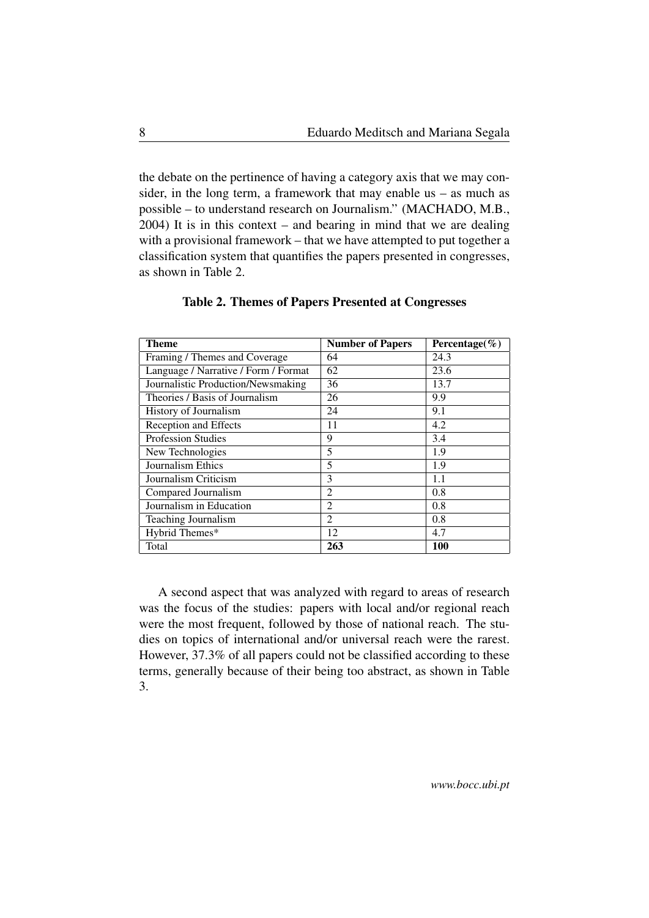the debate on the pertinence of having a category axis that we may consider, in the long term, a framework that may enable us – as much as possible – to understand research on Journalism." (MACHADO, M.B., 2004) It is in this context – and bearing in mind that we are dealing with a provisional framework – that we have attempted to put together a classification system that quantifies the papers presented in congresses, as shown in Table 2.

| Theme                                | <b>Number of Papers</b> | Percentage( $\%$ ) |
|--------------------------------------|-------------------------|--------------------|
| Framing / Themes and Coverage        | 64                      | 24.3               |
| Language / Narrative / Form / Format | 62                      | 23.6               |
| Journalistic Production/Newsmaking   | 36                      | 13.7               |
| Theories / Basis of Journalism       | 26                      | 9.9                |
| History of Journalism                | 24                      | 9.1                |
| <b>Reception and Effects</b>         | 11                      | 4.2                |
| <b>Profession Studies</b>            | 9                       | 3.4                |
| New Technologies                     | 5                       | 1.9                |
| Journalism Ethics                    | 5                       | 1.9                |
| Journalism Criticism                 | 3                       | 1.1                |
| Compared Journalism                  | $\overline{2}$          | 0.8                |
| Journalism in Education              | $\mathfrak{D}$          | 0.8                |
| Teaching Journalism                  | $\overline{2}$          | 0.8                |
| Hybrid Themes*                       | 12                      | 4.7                |
| Total                                | 263                     | 100                |

#### Table 2. Themes of Papers Presented at Congresses

A second aspect that was analyzed with regard to areas of research was the focus of the studies: papers with local and/or regional reach were the most frequent, followed by those of national reach. The studies on topics of international and/or universal reach were the rarest. However, 37.3% of all papers could not be classified according to these terms, generally because of their being too abstract, as shown in Table 3.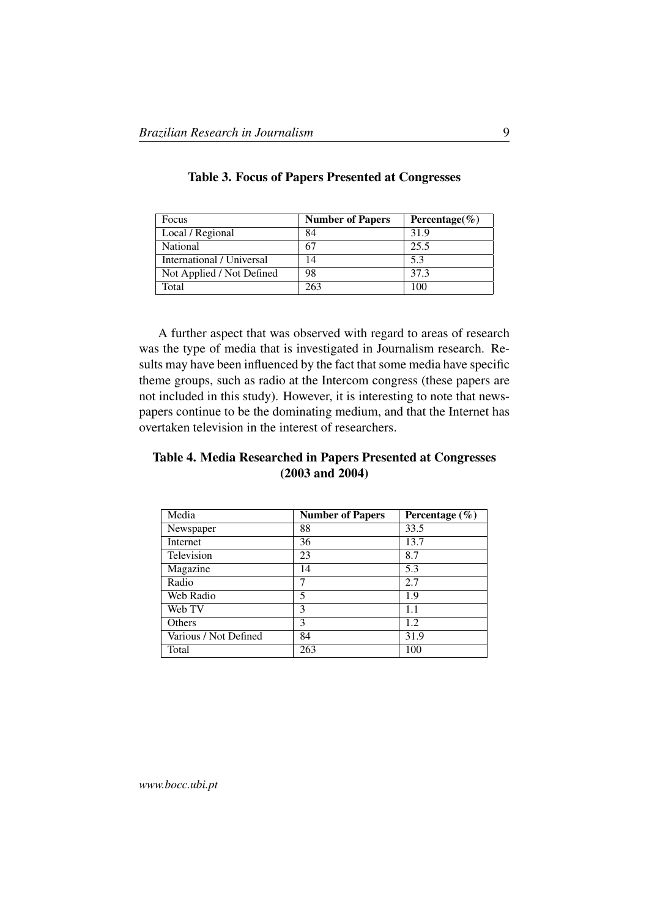| Focus                     | <b>Number of Papers</b> | Percentage( $\%$ ) |
|---------------------------|-------------------------|--------------------|
| Local / Regional          | 84                      | 31.9               |
| <b>National</b>           | 67                      | 25.5               |
| International / Universal | 14                      | 5.3                |
| Not Applied / Not Defined | 98                      | 37.3               |
| Total                     | 263                     | 100                |

|  |  |  | <b>Table 3. Focus of Papers Presented at Congresses</b> |  |
|--|--|--|---------------------------------------------------------|--|
|--|--|--|---------------------------------------------------------|--|

A further aspect that was observed with regard to areas of research was the type of media that is investigated in Journalism research. Results may have been influenced by the fact that some media have specific theme groups, such as radio at the Intercom congress (these papers are not included in this study). However, it is interesting to note that newspapers continue to be the dominating medium, and that the Internet has overtaken television in the interest of researchers.

### Table 4. Media Researched in Papers Presented at Congresses (2003 and 2004)

| Media                 | <b>Number of Papers</b> | Percentage $(\% )$ |
|-----------------------|-------------------------|--------------------|
| Newspaper             | 88                      | 33.5               |
| Internet              | 36                      | 13.7               |
| Television            | 23                      | 8.7                |
| Magazine              | 14                      | 5.3                |
| Radio                 | 7                       | 2.7                |
| Web Radio             | 5                       | 1.9                |
| Web TV                | 3                       | 1.1                |
| <b>Others</b>         | 3                       | 1.2                |
| Various / Not Defined | 84                      | 31.9               |
| Total                 | 263                     | 100                |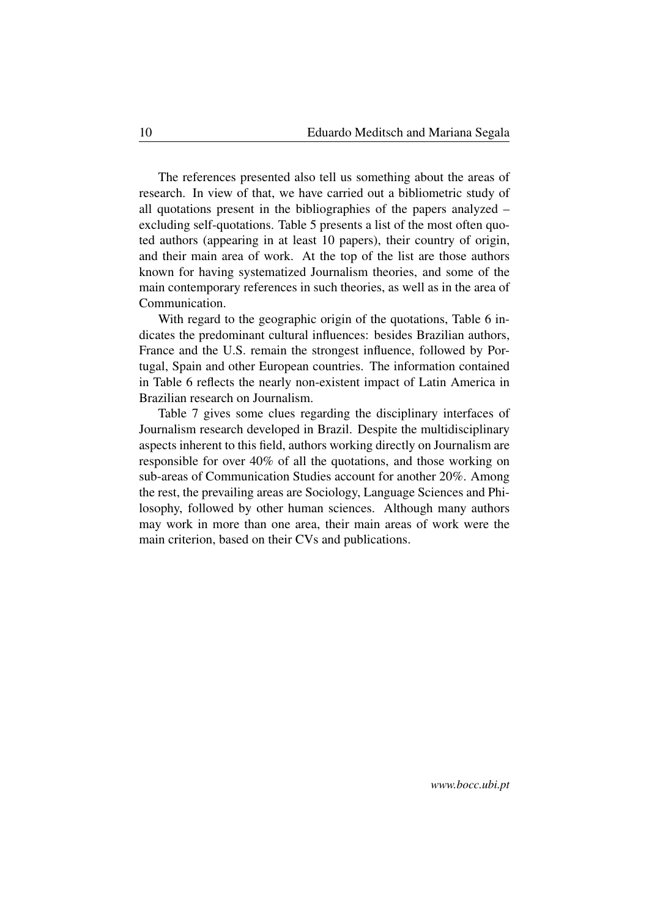The references presented also tell us something about the areas of research. In view of that, we have carried out a bibliometric study of all quotations present in the bibliographies of the papers analyzed – excluding self-quotations. Table 5 presents a list of the most often quoted authors (appearing in at least 10 papers), their country of origin, and their main area of work. At the top of the list are those authors known for having systematized Journalism theories, and some of the main contemporary references in such theories, as well as in the area of Communication.

With regard to the geographic origin of the quotations, Table 6 indicates the predominant cultural influences: besides Brazilian authors, France and the U.S. remain the strongest influence, followed by Portugal, Spain and other European countries. The information contained in Table 6 reflects the nearly non-existent impact of Latin America in Brazilian research on Journalism.

Table 7 gives some clues regarding the disciplinary interfaces of Journalism research developed in Brazil. Despite the multidisciplinary aspects inherent to this field, authors working directly on Journalism are responsible for over 40% of all the quotations, and those working on sub-areas of Communication Studies account for another 20%. Among the rest, the prevailing areas are Sociology, Language Sciences and Philosophy, followed by other human sciences. Although many authors may work in more than one area, their main areas of work were the main criterion, based on their CVs and publications.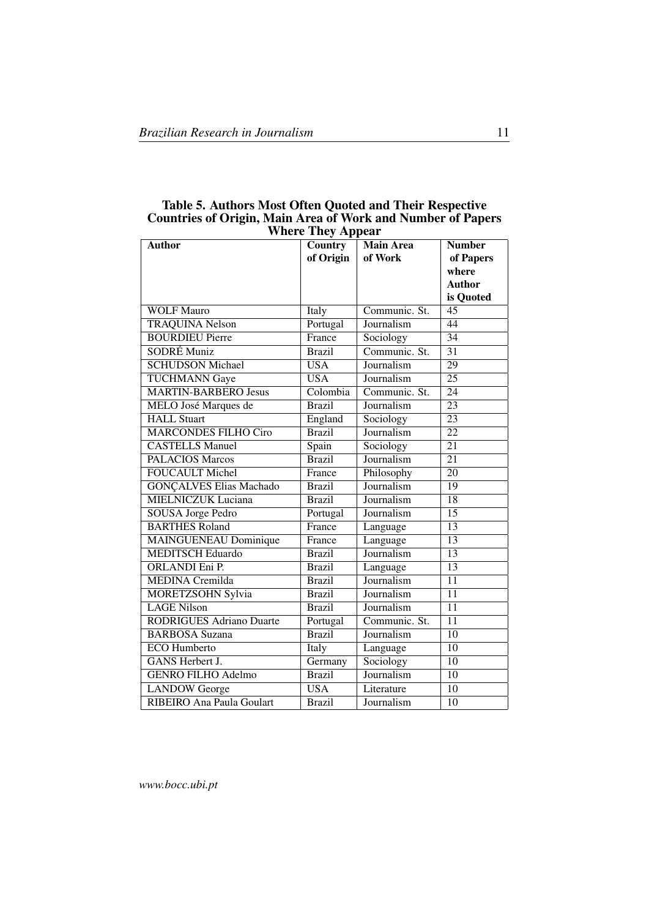| <b>Author</b>                   | -, --rr ---<br>Country | <b>Main Area</b> | <b>Number</b>   |
|---------------------------------|------------------------|------------------|-----------------|
|                                 | of Origin              | of Work          | of Papers       |
|                                 |                        |                  | where           |
|                                 |                        |                  | Author          |
|                                 |                        |                  | is Quoted       |
| <b>WOLF Mauro</b>               | Italy                  | Communic. St.    | $\overline{45}$ |
| <b>TRAQUINA Nelson</b>          | Portugal               | Journalism       | 44              |
| <b>BOURDIEU Pierre</b>          | France                 | Sociology        | $\overline{34}$ |
| <b>SODRÉ Muniz</b>              | <b>Brazil</b>          | Communic. St.    | 31              |
| <b>SCHUDSON Michael</b>         | <b>USA</b>             | Journalism       | $\overline{29}$ |
| <b>TUCHMANN Gaye</b>            | $\overline{USA}$       | Journalism       | $\overline{25}$ |
| <b>MARTIN-BARBERO Jesus</b>     | Colombia               | Communic. St.    | $\overline{24}$ |
| MELO José Marques de            | <b>Brazil</b>          | Journalism       | $\overline{23}$ |
| <b>HALL Stuart</b>              | England                | Sociology        | 23              |
| <b>MARCONDES FILHO Ciro</b>     | <b>Brazil</b>          | Journalism       | $\overline{22}$ |
| <b>CASTELLS Manuel</b>          | Spain                  | Sociology        | $\overline{21}$ |
| <b>PALACIOS Marcos</b>          | <b>Brazil</b>          | Journalism       | $\overline{21}$ |
| <b>FOUCAULT Michel</b>          | France                 | Philosophy       | $\overline{20}$ |
| <b>GONÇALVES Elias Machado</b>  | <b>Brazil</b>          | Journalism       | $\overline{19}$ |
| <b>MIELNICZUK Luciana</b>       | <b>Brazil</b>          | Journalism       | $\overline{18}$ |
| <b>SOUSA Jorge Pedro</b>        | Portugal               | Journalism       | 15              |
| <b>BARTHES Roland</b>           | France                 | Language         | $\overline{13}$ |
| <b>MAINGUENEAU Dominique</b>    | France                 | Language         | $\overline{13}$ |
| <b>MEDITSCH Eduardo</b>         | <b>Brazil</b>          | Journalism       | $\overline{13}$ |
| <b>ORLANDI Eni P.</b>           | <b>Brazil</b>          | Language         | $\overline{13}$ |
| <b>MEDINA</b> Cremilda          | <b>Brazil</b>          | Journalism       | $\overline{11}$ |
| <b>MORETZSOHN Sylvia</b>        | <b>Brazil</b>          | Journalism       | $\overline{11}$ |
| <b>LAGE Nilson</b>              | <b>Brazil</b>          | Journalism       | 11              |
| <b>RODRIGUES Adriano Duarte</b> | Portugal               | Communic. St.    | 11              |
| <b>BARBOSA Suzana</b>           | <b>Brazil</b>          | Journalism       | 10              |
| <b>ECO</b> Humberto             | Italy                  | Language         | $\overline{10}$ |
| <b>GANS</b> Herbert J.          | Germany                | Sociology        | 10              |
| <b>GENRO FILHO Adelmo</b>       | <b>Brazil</b>          | Journalism       | 10              |
| <b>LANDOW</b> George            | <b>USA</b>             | Literature       | 10              |
| RIBEIRO Ana Paula Goulart       | <b>Brazil</b>          | Journalism       | 10              |

Table 5. Authors Most Often Quoted and Their Respective Countries of Origin, Main Area of Work and Number of Papers Where They Appear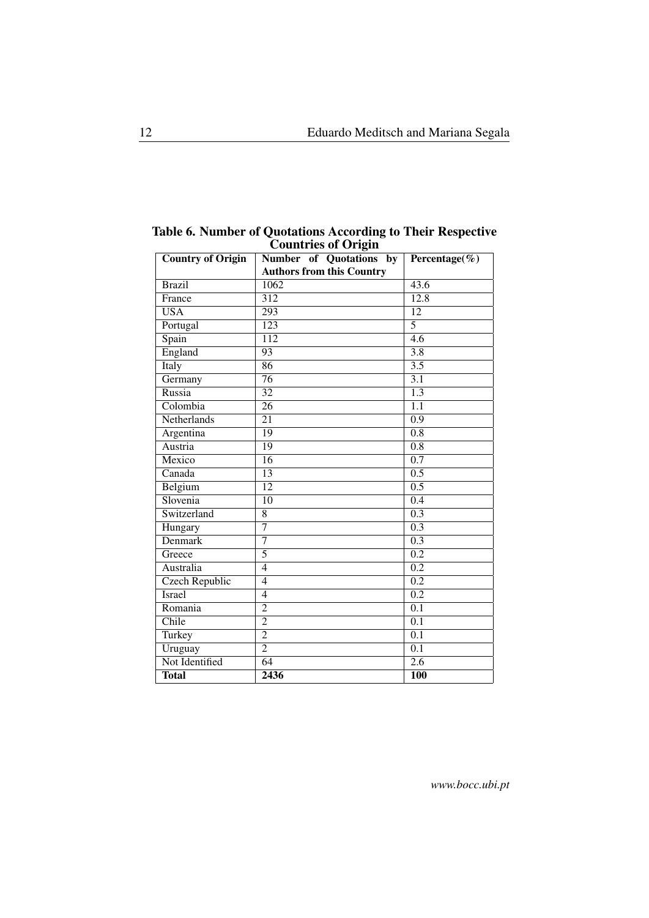|  |                            | Table 6. Number of Quotations According to Their Respective |
|--|----------------------------|-------------------------------------------------------------|
|  | <b>Countries of Origin</b> |                                                             |

| <b>Country of Origin</b> | <b>Number</b> of Quotations<br>$\mathbf{b}\mathbf{y}$ | Percentage(%)    |
|--------------------------|-------------------------------------------------------|------------------|
|                          | <b>Authors from this Country</b>                      |                  |
| <b>Brazil</b>            | 1062                                                  | 43.6             |
| France                   | $\overline{312}$                                      | 12.8             |
| $\overline{\text{USA}}$  | $\overline{293}$                                      | $\overline{12}$  |
| Portugal                 | $\overline{123}$                                      | $\overline{5}$   |
| Spain                    | $\overline{112}$                                      | 4.6              |
| England                  | $\overline{93}$                                       | $\overline{3.8}$ |
| Italy                    | $\overline{86}$                                       | $\overline{3.5}$ |
| Germany                  | $\overline{76}$                                       | $\overline{3.1}$ |
| Russia                   | $\overline{32}$                                       | $\overline{1.3}$ |
| Colombia                 | $\overline{26}$                                       | $\overline{1.1}$ |
| Netherlands              | 21                                                    | 0.9              |
| Argentina                | $\overline{19}$                                       | $\overline{0.8}$ |
| Austria                  | 19                                                    | 0.8              |
| Mexico                   | 16                                                    | 0.7              |
| Canada                   | $\overline{13}$                                       | 0.5              |
| Belgium                  | $\overline{12}$                                       | 0.5              |
| Slovenia                 | $\overline{10}$                                       | $\overline{0.4}$ |
| Switzerland              | $\overline{8}$                                        | 0.3              |
| Hungary                  | $\overline{7}$                                        | 0.3              |
| <b>Denmark</b>           | $\overline{7}$                                        | $\overline{0.3}$ |
| Greece                   | $\overline{5}$                                        | 0.2              |
| Australia                | $\overline{4}$                                        | $\overline{0.2}$ |
| Czech Republic           | $\overline{4}$                                        | 0.2              |
| <b>Israel</b>            | $\overline{4}$                                        | $\overline{0.2}$ |
| Romania                  | $\overline{2}$                                        | $\overline{0.1}$ |
| Chile                    | $\overline{2}$                                        | 0.1              |
| Turkey                   | $\overline{2}$                                        | $\overline{0.1}$ |
| Uruguay                  | $\overline{2}$                                        | 0.1              |
| Not Identified           | $\overline{64}$                                       | 2.6              |
| <b>Total</b>             | 2436                                                  | <b>100</b>       |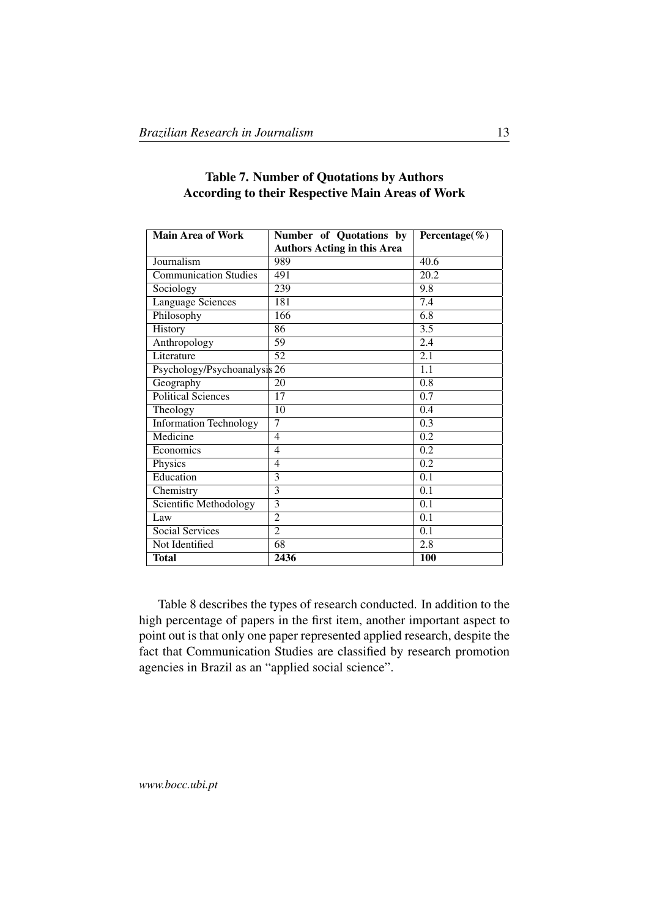| <b>Main Area of Work</b>      | Number of Quotations by            | Percentage( $\%$ ) |
|-------------------------------|------------------------------------|--------------------|
|                               | <b>Authors Acting in this Area</b> |                    |
| Journalism                    | 989                                | 40.6               |
| <b>Communication Studies</b>  | 491                                | 20.2               |
| Sociology                     | 239                                | 9.8                |
| Language Sciences             | 181                                | 7.4                |
| Philosophy                    | 166                                | 6.8                |
| History                       | 86                                 | 3.5                |
| Anthropology                  | 59                                 | 2.4                |
| Literature                    | 52                                 | 2.1                |
| Psychology/Psychoanalysis 26  |                                    | 1.1                |
| $\overline{G}$ eography       | 20                                 | 0.8                |
| <b>Political Sciences</b>     | 17                                 | 0.7                |
| Theology                      | 10                                 | 0.4                |
| <b>Information Technology</b> | 7                                  | 0.3                |
| Medicine                      | 4                                  | 0.2                |
| Economics                     | 4                                  | 0.2                |
| Physics                       | 4                                  | 0.2                |
| Education                     | 3                                  | 0.1                |
| Chemistry                     | 3                                  | 0.1                |
| Scientific Methodology        | $\overline{3}$                     | 0.1                |
| Law                           | $\overline{2}$                     | 0.1                |
| Social Services               | $\overline{2}$                     | 0.1                |
| Not Identified                | 68                                 | 2.8                |
| <b>Total</b>                  | 2436                               | <b>100</b>         |

### Table 7. Number of Quotations by Authors According to their Respective Main Areas of Work

Table 8 describes the types of research conducted. In addition to the high percentage of papers in the first item, another important aspect to point out is that only one paper represented applied research, despite the fact that Communication Studies are classified by research promotion agencies in Brazil as an "applied social science".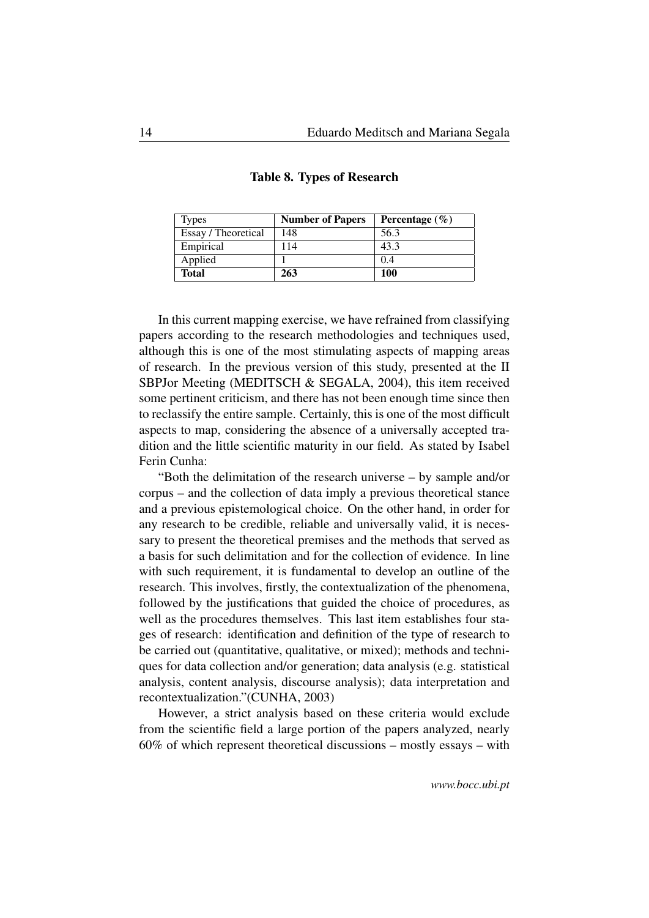| <b>Types</b>        | <b>Number of Papers</b> | Percentage $(\% )$ |
|---------------------|-------------------------|--------------------|
| Essay / Theoretical | 148                     | 56.3               |
| Empirical           | 114                     | 43.3               |
| Applied             |                         | 0.4                |
| <b>Total</b>        | 263                     | 100                |

Table 8. Types of Research

In this current mapping exercise, we have refrained from classifying papers according to the research methodologies and techniques used, although this is one of the most stimulating aspects of mapping areas of research. In the previous version of this study, presented at the II SBPJor Meeting (MEDITSCH & SEGALA, 2004), this item received some pertinent criticism, and there has not been enough time since then to reclassify the entire sample. Certainly, this is one of the most difficult aspects to map, considering the absence of a universally accepted tradition and the little scientific maturity in our field. As stated by Isabel Ferin Cunha:

"Both the delimitation of the research universe – by sample and/or corpus – and the collection of data imply a previous theoretical stance and a previous epistemological choice. On the other hand, in order for any research to be credible, reliable and universally valid, it is necessary to present the theoretical premises and the methods that served as a basis for such delimitation and for the collection of evidence. In line with such requirement, it is fundamental to develop an outline of the research. This involves, firstly, the contextualization of the phenomena, followed by the justifications that guided the choice of procedures, as well as the procedures themselves. This last item establishes four stages of research: identification and definition of the type of research to be carried out (quantitative, qualitative, or mixed); methods and techniques for data collection and/or generation; data analysis (e.g. statistical analysis, content analysis, discourse analysis); data interpretation and recontextualization."(CUNHA, 2003)

However, a strict analysis based on these criteria would exclude from the scientific field a large portion of the papers analyzed, nearly 60% of which represent theoretical discussions – mostly essays – with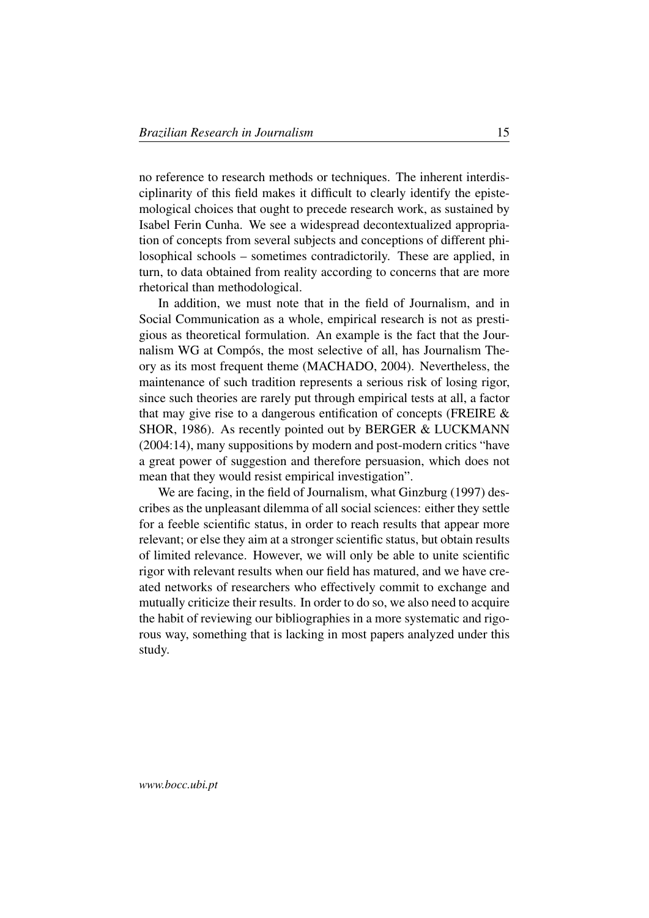no reference to research methods or techniques. The inherent interdisciplinarity of this field makes it difficult to clearly identify the epistemological choices that ought to precede research work, as sustained by Isabel Ferin Cunha. We see a widespread decontextualized appropriation of concepts from several subjects and conceptions of different philosophical schools – sometimes contradictorily. These are applied, in turn, to data obtained from reality according to concerns that are more rhetorical than methodological.

In addition, we must note that in the field of Journalism, and in Social Communication as a whole, empirical research is not as prestigious as theoretical formulation. An example is the fact that the Journalism WG at Compós, the most selective of all, has Journalism Theory as its most frequent theme (MACHADO, 2004). Nevertheless, the maintenance of such tradition represents a serious risk of losing rigor, since such theories are rarely put through empirical tests at all, a factor that may give rise to a dangerous entification of concepts (FREIRE  $\&$ SHOR, 1986). As recently pointed out by BERGER & LUCKMANN (2004:14), many suppositions by modern and post-modern critics "have a great power of suggestion and therefore persuasion, which does not mean that they would resist empirical investigation".

We are facing, in the field of Journalism, what Ginzburg (1997) describes as the unpleasant dilemma of all social sciences: either they settle for a feeble scientific status, in order to reach results that appear more relevant; or else they aim at a stronger scientific status, but obtain results of limited relevance. However, we will only be able to unite scientific rigor with relevant results when our field has matured, and we have created networks of researchers who effectively commit to exchange and mutually criticize their results. In order to do so, we also need to acquire the habit of reviewing our bibliographies in a more systematic and rigorous way, something that is lacking in most papers analyzed under this study.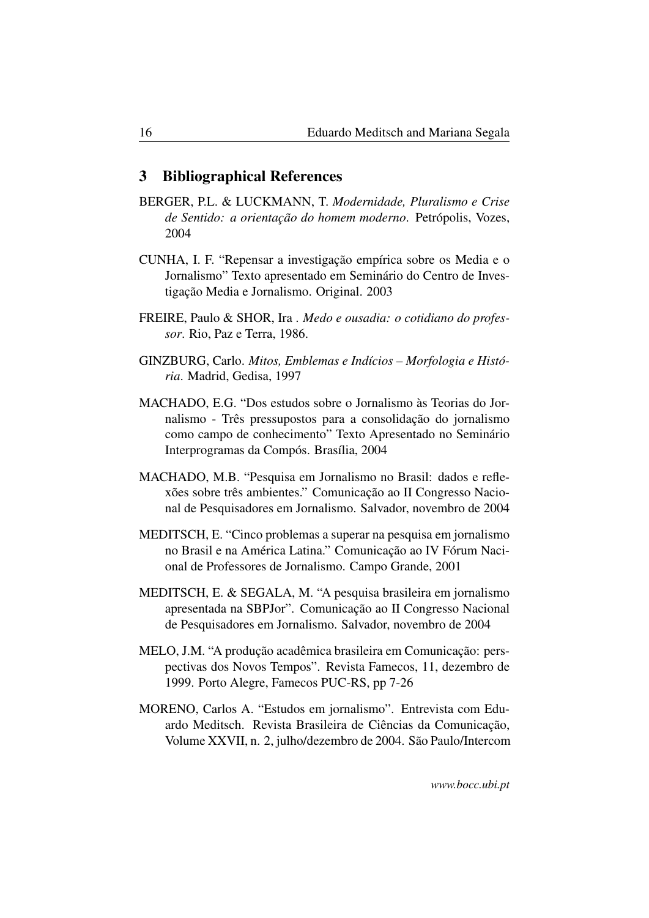### <span id="page-15-0"></span>3 Bibliographical References

- BERGER, P.L. & LUCKMANN, T. *Modernidade, Pluralismo e Crise de Sentido: a orientação do homem moderno*. Petrópolis, Vozes, 2004
- CUNHA, I. F. "Repensar a investigação empírica sobre os Media e o Jornalismo" Texto apresentado em Seminário do Centro de Investigação Media e Jornalismo. Original. 2003
- FREIRE, Paulo & SHOR, Ira . *Medo e ousadia: o cotidiano do professor*. Rio, Paz e Terra, 1986.
- GINZBURG, Carlo. *Mitos, Emblemas e Indícios Morfologia e História*. Madrid, Gedisa, 1997
- MACHADO, E.G. "Dos estudos sobre o Jornalismo às Teorias do Jornalismo - Três pressupostos para a consolidação do jornalismo como campo de conhecimento" Texto Apresentado no Seminário Interprogramas da Compós. Brasília, 2004
- MACHADO, M.B. "Pesquisa em Jornalismo no Brasil: dados e reflexões sobre três ambientes." Comunicação ao II Congresso Nacional de Pesquisadores em Jornalismo. Salvador, novembro de 2004
- MEDITSCH, E. "Cinco problemas a superar na pesquisa em jornalismo no Brasil e na América Latina." Comunicação ao IV Fórum Nacional de Professores de Jornalismo. Campo Grande, 2001
- MEDITSCH, E. & SEGALA, M. "A pesquisa brasileira em jornalismo apresentada na SBPJor". Comunicação ao II Congresso Nacional de Pesquisadores em Jornalismo. Salvador, novembro de 2004
- MELO, J.M. "A produção acadêmica brasileira em Comunicação: perspectivas dos Novos Tempos". Revista Famecos, 11, dezembro de 1999. Porto Alegre, Famecos PUC-RS, pp 7-26
- MORENO, Carlos A. "Estudos em jornalismo". Entrevista com Eduardo Meditsch. Revista Brasileira de Ciências da Comunicação, Volume XXVII, n. 2, julho/dezembro de 2004. São Paulo/Intercom